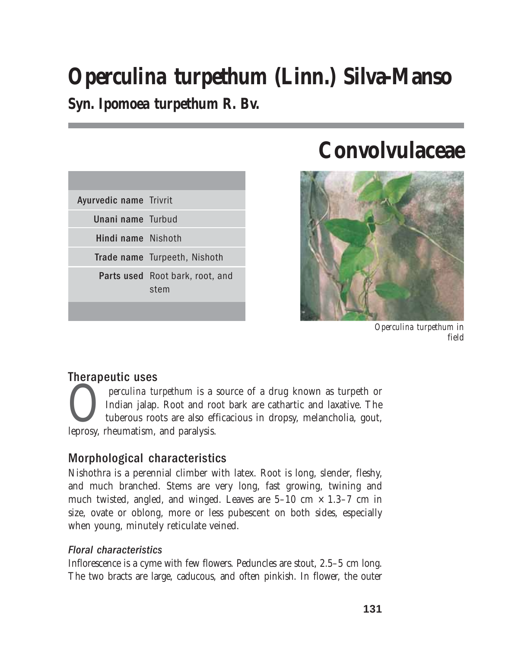# *Operculina turpethum* **(Linn.) Silva-Manso**

**Syn.** *Ipomoea turpethum* **R. Bv.**

| <b>Ayurvedic name Trivrit</b> |                                         |
|-------------------------------|-----------------------------------------|
| Unani name Turbud             |                                         |
| Hindi name Nishoth            |                                         |
|                               | Trade name Turpeeth, Nishoth            |
|                               | Parts used Root bark, root, and<br>stem |
|                               |                                         |

# **Convolvulaceae**



*Operculina turpethum* in field

## Therapeutic uses

*Operculina turpethum* is a source of a drug known as turpeth or mdian jalap. Root and root bark are cathartic and laxative. The tuberous roots are also efficacious in dropsy, melancholia, gout, leprosy, rheumatism, and pa Indian jalap. Root and root bark are cathartic and laxative. The tuberous roots are also efficacious in dropsy, melancholia, gout, leprosy, rheumatism, and paralysis.

# Morphological characteristics

Nishothra is a perennial climber with latex. Root is long, slender, fleshy, and much branched. Stems are very long, fast growing, twining and much twisted, angled, and winged. Leaves are  $5-10$  cm  $\times$  1.3–7 cm in size, ovate or oblong, more or less pubescent on both sides, especially when young, minutely reticulate veined.

### Floral characteristics

Inflorescence is a cyme with few flowers. Peduncles are stout, 2.5–5 cm long. The two bracts are large, caducous, and often pinkish. In flower, the outer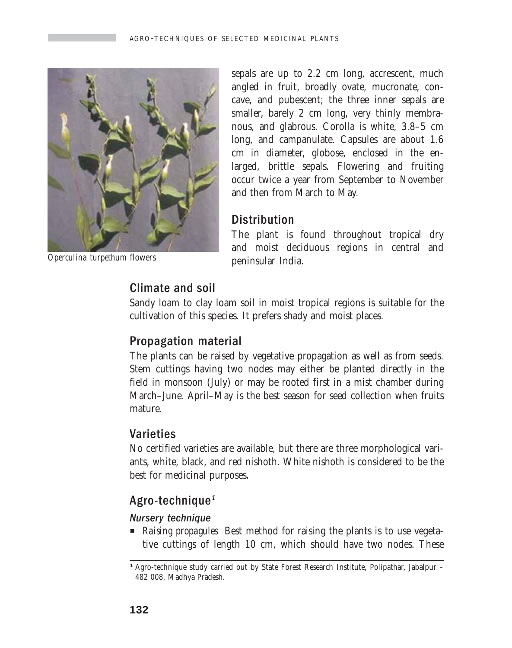

*Operculina turpethum* flowers

sepals are up to 2.2 cm long, accrescent, much angled in fruit, broadly ovate, mucronate, concave, and pubescent; the three inner sepals are smaller, barely 2 cm long, very thinly membranous, and glabrous. Corolla is white, 3.8–5 cm long, and campanulate. Capsules are about 1.6 cm in diameter, globose, enclosed in the enlarged, brittle sepals. Flowering and fruiting occur twice a year from September to November and then from March to May.

### **Distribution**

The plant is found throughout tropical dry and moist deciduous regions in central and peninsular India.

# Climate and soil

Sandy loam to clay loam soil in moist tropical regions is suitable for the cultivation of this species. It prefers shady and moist places.

# Propagation material

The plants can be raised by vegetative propagation as well as from seeds. Stem cuttings having two nodes may either be planted directly in the field in monsoon (July) or may be rooted first in a mist chamber during March–June. April–May is the best season for seed collection when fruits mature.

## Varieties

No certified varieties are available, but there are three morphological variants, white, black, and red nishoth. White nishoth is considered to be the best for medicinal purposes.

# Agro-technique<sup>1</sup>

#### Nursery technique

**P** *Raising propagules* Best method for raising the plants is to use vegetative cuttings of length 10 cm, which should have two nodes. These

<sup>&</sup>lt;sup>1</sup> Agro-technique study carried out by State Forest Research Institute, Polipathar, Jabalpur – 482 008, Madhya Pradesh.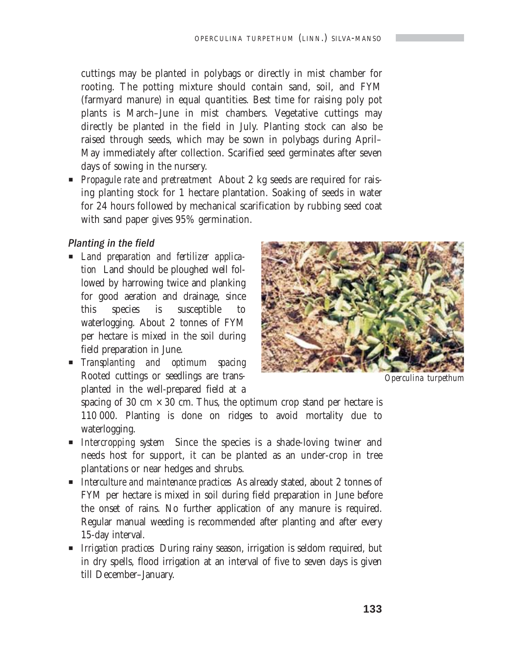cuttings may be planted in polybags or directly in mist chamber for rooting. The potting mixture should contain sand, soil, and FYM (farmyard manure) in equal quantities. Best time for raising poly pot plants is March–June in mist chambers. Vegetative cuttings may directly be planted in the field in July. Planting stock can also be raised through seeds, which may be sown in polybags during April– May immediately after collection. Scarified seed germinates after seven days of sowing in the nursery.

**Propagule rate and pretreatment** About 2 kg seeds are required for raising planting stock for 1 hectare plantation. Soaking of seeds in water for 24 hours followed by mechanical scarification by rubbing seed coat with sand paper gives 95% germination.

#### Planting in the field

- P *Land preparation and fertilizer application* Land should be ploughed well followed by harrowing twice and planking for good aeration and drainage, since this species is susceptible to waterlogging. About 2 tonnes of FYM per hectare is mixed in the soil during field preparation in June.
- P *Transplanting and optimum spacing* Rooted cuttings or seedlings are transplanted in the well-prepared field at a



*Operculina turpethum*

spacing of 30 cm  $\times$  30 cm. Thus, the optimum crop stand per hectare is 110 000. Planting is done on ridges to avoid mortality due to waterlogging.

- P *Intercropping system* Since the species is a shade-loving twiner and needs host for support, it can be planted as an under-crop in tree plantations or near hedges and shrubs.
- P *Interculture and maintenance practices* As already stated, about 2 tonnes of FYM per hectare is mixed in soil during field preparation in June before the onset of rains. No further application of any manure is required. Regular manual weeding is recommended after planting and after every 15-day interval.
- **P** *Irrigation practices* During rainy season, irrigation is seldom required, but in dry spells, flood irrigation at an interval of five to seven days is given till December–January.